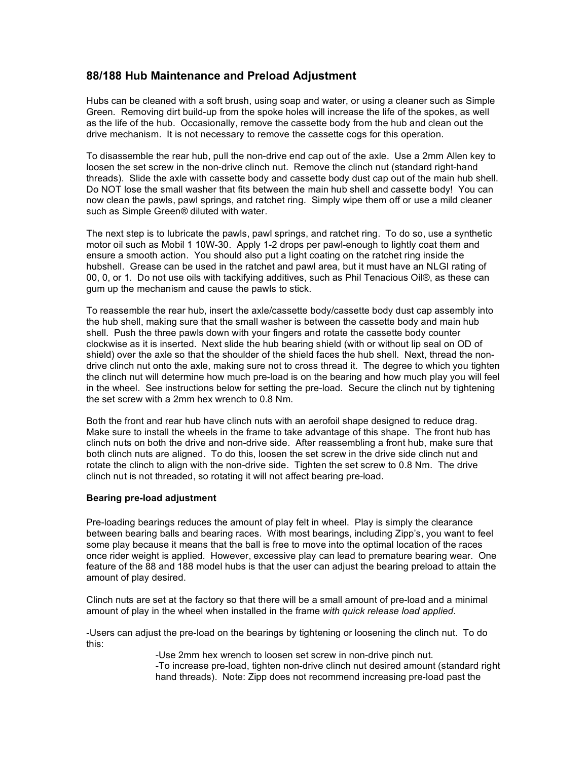## **88/188 Hub Maintenance and Preload Adjustment**

Hubs can be cleaned with a soft brush, using soap and water, or using a cleaner such as Simple Green. Removing dirt build-up from the spoke holes will increase the life of the spokes, as well as the life of the hub. Occasionally, remove the cassette body from the hub and clean out the drive mechanism. It is not necessary to remove the cassette cogs for this operation.

To disassemble the rear hub, pull the non-drive end cap out of the axle. Use a 2mm Allen key to loosen the set screw in the non-drive clinch nut. Remove the clinch nut (standard right-hand threads). Slide the axle with cassette body and cassette body dust cap out of the main hub shell. Do NOT lose the small washer that fits between the main hub shell and cassette body! You can now clean the pawls, pawl springs, and ratchet ring. Simply wipe them off or use a mild cleaner such as Simple Green® diluted with water.

The next step is to lubricate the pawls, pawl springs, and ratchet ring. To do so, use a synthetic motor oil such as Mobil 1 10W-30. Apply 1-2 drops per pawl-enough to lightly coat them and ensure a smooth action. You should also put a light coating on the ratchet ring inside the hubshell. Grease can be used in the ratchet and pawl area, but it must have an NLGI rating of 00, 0, or 1. Do not use oils with tackifying additives, such as Phil Tenacious Oil®, as these can gum up the mechanism and cause the pawls to stick.

To reassemble the rear hub, insert the axle/cassette body/cassette body dust cap assembly into the hub shell, making sure that the small washer is between the cassette body and main hub shell. Push the three pawls down with your fingers and rotate the cassette body counter clockwise as it is inserted. Next slide the hub bearing shield (with or without lip seal on OD of shield) over the axle so that the shoulder of the shield faces the hub shell. Next, thread the nondrive clinch nut onto the axle, making sure not to cross thread it. The degree to which you tighten the clinch nut will determine how much pre-load is on the bearing and how much play you will feel in the wheel. See instructions below for setting the pre-load. Secure the clinch nut by tightening the set screw with a 2mm hex wrench to 0.8 Nm.

Both the front and rear hub have clinch nuts with an aerofoil shape designed to reduce drag. Make sure to install the wheels in the frame to take advantage of this shape. The front hub has clinch nuts on both the drive and non-drive side. After reassembling a front hub, make sure that both clinch nuts are aligned. To do this, loosen the set screw in the drive side clinch nut and rotate the clinch to align with the non-drive side. Tighten the set screw to 0.8 Nm. The drive clinch nut is not threaded, so rotating it will not affect bearing pre-load.

## **Bearing pre-load adjustment**

Pre-loading bearings reduces the amount of play felt in wheel. Play is simply the clearance between bearing balls and bearing races. With most bearings, including Zipp's, you want to feel some play because it means that the ball is free to move into the optimal location of the races once rider weight is applied. However, excessive play can lead to premature bearing wear. One feature of the 88 and 188 model hubs is that the user can adjust the bearing preload to attain the amount of play desired.

Clinch nuts are set at the factory so that there will be a small amount of pre-load and a minimal amount of play in the wheel when installed in the frame *with quick release load applied.*

-Users can adjust the pre-load on the bearings by tightening or loosening the clinch nut. To do this:

> -Use 2mm hex wrench to loosen set screw in non-drive pinch nut. -To increase pre-load, tighten non-drive clinch nut desired amount (standard right hand threads). Note: Zipp does not recommend increasing pre-load past the